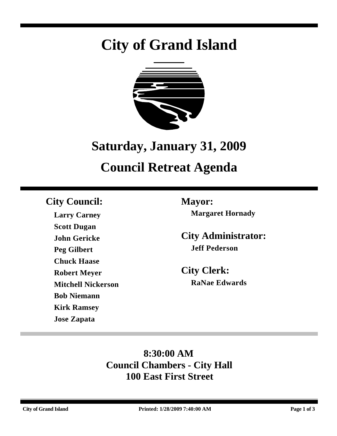# **City of Grand Island**



# **Saturday, January 31, 2009 Council Retreat Agenda**

# **City Council: Mayor:**

**Larry Carney Scott Dugan John Gericke Peg Gilbert Chuck Haase Robert Meyer Mitchell Nickerson Bob Niemann Kirk Ramsey Jose Zapata**

**Margaret Hornady**

**City Administrator: Jeff Pederson**

**City Clerk: RaNae Edwards**

# **8:30:00 AM Council Chambers - City Hall 100 East First Street**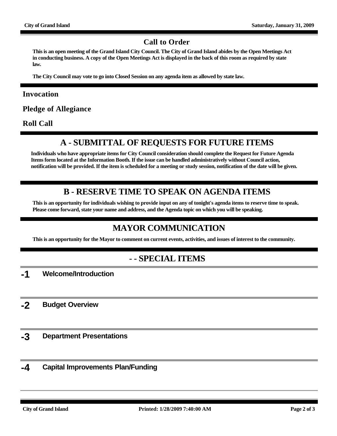#### **Call to Order**

**This is an open meeting of the Grand Island City Council. The City of Grand Island abides by the Open Meetings Act in conducting business. A copy of the Open Meetings Act is displayed in the back of this room as required by state law.**

**The City Council may vote to go into Closed Session on any agenda item as allowed by state law.**

#### **Invocation**

**Pledge of Allegiance**

**Roll Call**

## **A - SUBMITTAL OF REQUESTS FOR FUTURE ITEMS**

**Individuals who have appropriate items for City Council consideration should complete the Request for Future Agenda Items form located at the Information Booth. If the issue can be handled administratively without Council action, notification will be provided. If the item is scheduled for a meeting or study session, notification of the date will be given.**

### **B - RESERVE TIME TO SPEAK ON AGENDA ITEMS**

**This is an opportunity for individuals wishing to provide input on any of tonight's agenda items to reserve time to speak. Please come forward, state your name and address, and the Agenda topic on which you will be speaking.**

## **MAYOR COMMUNICATION**

**This is an opportunity for the Mayor to comment on current events, activities, and issues of interest to the community.**

#### **- - SPECIAL ITEMS**

**-1 Welcome/Introduction**

**-2 Budget Overview**

- **-3 Department Presentations**
- **-4 Capital Improvements Plan/Funding**